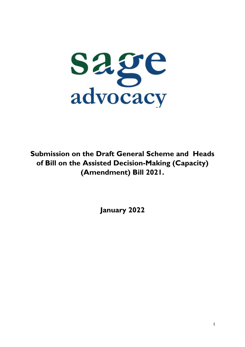

**Submission on the Draft General Scheme and Heads of Bill on the Assisted Decision-Making (Capacity) (Amendment) Bill 2021.**

**January 2022**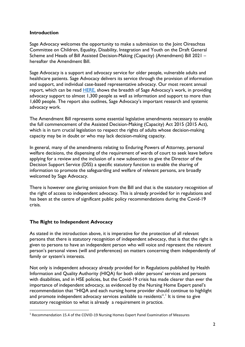### **Introduction**

Sage Advocacy welcomes the opportunity to make a submission to the Joint Oireachtas Committee on Children, Equality, Disability, Integration and Youth on the Draft General Scheme and Heads of Bill Assisted Decision-Making (Capacity) (Amendment) Bill 2021 – hereafter the Amendment Bill.

Sage Advocacy is a support and advocacy service for older people, vulnerable adults and healthcare patients. Sage Advocacy delivers its service through the provision of information and support, and individual case-based representative advocacy. Our most recent annual report, which can be read [HERE,](https://www.sageadvocacy.ie/media/2151/sage-advocacy-annual-report-2020-sl.pdf) shows the breadth of Sage Advocacy's work, in providing advocacy support to almost 1,300 people as well as information and support to more than 1,600 people. The report also outlines, Sage Advocacy's important research and systemic advocacy work.

The Amendment Bill represents some essential legislative amendments necessary to enable the full commencement of the Assisted Decision-Making (Capacity) Act 2015 (2015 Act), which is in turn crucial legislation to respect the rights of adults whose decision-making capacity may be in doubt or who may lack decision-making capacity.

In general, many of the amendments relating to Enduring Powers of Attorney, personal welfare decisions, the dispensing of the requirement of wards of court to seek leave before applying for a review and the inclusion of a new subsection to give the Director of the Decision Support Service (DSS) a specific statutory function to enable the sharing of information to promote the safeguarding and welfare of relevant persons, are broadly welcomed by Sage Advocacy.

There is however one glaring omission from the Bill and that is the statutory recognition of the right of access to independent advocacy. This is already provided for in regulations and has been at the centre of significant public policy recommendations during the Covid-19 crisis.

# **The Right to Independent Advocacy**

**.** 

As stated in the introduction above, it is imperative for the protection of all relevant persons that there is statutory recognition of independent advocacy, that is that the right is given to persons to have an independent person who will voice and represent the relevant person's personal views (will and preferences) on matters concerning them independently of family or system's interests.

Not only is independent advocacy already provided for in Regulations published by Health Information and Quality Authority (HIQA) for both older persons' services and persons with disabilities, and in HSE policies, but the Covid-19 crisis has made clearer than ever the importance of independent advocacy, as evidenced by the Nursing Home Expert panel's recommendation that "HIQA and each nursing home provider should continue to highlight and promote independent advocacy services available to residents".<sup>1</sup> It is time to give statutory recognition to what is already a requirement in practice.

<sup>1</sup> Recommendation 15.4 of the COVID-19 Nursing Homes Expert Panel Examination of Measures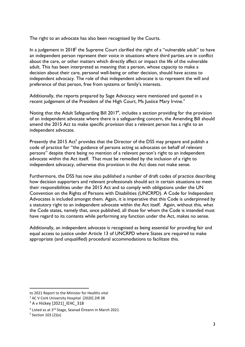The right to an advocate has also been recognised by the Courts.

In a judgement in  $2018<sup>2</sup>$  the Supreme Court clarified the right of a "vulnerable adult" to have an independent person represent their voice in situations where third parties are in conflict about the care, or other matters which directly affect or impact the life of the vulnerable adult. This has been interpreted as meaning that a person, whose capacity to make a decision about their care, personal well-being or other decision, should have access to independent advocacy. The role of that independent advocate is to represent the will and preference of that person, free from systems or family's interests.

Additionally, the reports prepared by Sage Advocacy were mentioned and quoted in a recent judgement of the President of the High Court, Ms Justice Mary Irvine.<sup>3</sup>

Noting that the Adult Safeguarding Bill  $2017<sup>4</sup>$ , includes a section providing for the provision of an independent advocate where there is a safeguarding concern, the Amending Bill should amend the 2015 Act to make specific provision that a relevant person has a right to an independent advocate.

Presently the 2015 Act<sup>5</sup> provides that the Director of the DSS may prepare and publish a code of practice for "the guidance of persons acting as advocates on behalf of relevant persons" despite there being no mention of a relevant person's right to an independent advocate within the Act itself. That must be remedied by the inclusion of a right to independent advocacy, otherwise this provision in the Act does not make sense.

Furthermore, the DSS has now also published a number of draft codes of practice describing how decision supporters and relevant professionals should act in certain situations to meet their responsibilities under the 2015 Act and to comply with obligations under the UN Convention on the Rights of Persons with Disabilities (UNCRPD). A Code for Independent Advocates is included amongst them. Again, it is imperative that this Code is underpinned by a statutory right to an independent advocate within the Act itself. Again, without this, what the Code states, namely that, once published, all those for whom the Code is intended must have regard to its contents while performing any function under the Act, makes no sense.

Additionally, an independent advocate is recognised as being essential for providing fair and equal access to justice under Article 13 of UNCRPD where States are required to make appropriate (and unqualified) procedural accommodations to facilitate this.

 $\overline{\phantom{a}}$ 

to 2021 Report to the Minister for Healths vital

<sup>&</sup>lt;sup>2</sup> AC V Cork University Hospital [2020] 2IR 38

<sup>3</sup> A v Hickey [2021]\_IEHC\_318

<sup>4</sup> Listed as at 3rd Stage, Seanad Éireann in March 2021

<sup>5</sup> Section 103 (2)(x)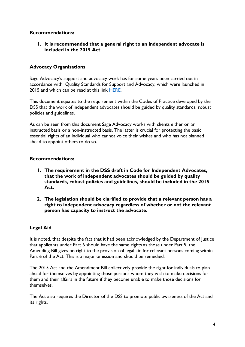### **Recommendations:**

**1. It is recommended that a general right to an independent advocate is included in the 2015 Act.**

## **Advocacy Organisations**

Sage Advocacy's support and advocacy work has for some years been carried out in accordance with Quality Standards for Support and Advocacy, which were launched in 2015 and which can be read at this link [HERE.](whttps://www.sageadvocacy.ie/media/1336/quality-standards-for-support-and-advocacy-work-with-older-people-final-061015.pdf)

This document equates to the requirement within the Codes of Practice developed by the DSS that the work of independent advocates should be guided by quality standards, robust policies and guidelines.

As can be seen from this document Sage Advocacy works with clients either on an instructed basis or a non-instructed basis. The latter is crucial for protecting the basic essential rights of an individual who cannot voice their wishes and who has not planned ahead to appoint others to do so.

### **Recommendations:**

- **1. The requirement in the DSS draft in Code for Independent Advocates, that the work of independent advocates should be guided by quality standards, robust policies and guidelines, should be included in the 2015 Act.**
- **2. The legislation should be clarified to provide that a relevant person has a right to independent advocacy regardless of whether or not the relevant person has capacity to instruct the advocate.**

### **Legal Aid**

It is noted, that despite the fact that it had been acknowledged by the Department of Justice that applicants under Part 6 should have the same rights as those under Part 5, the Amending Bill gives no right to the provision of legal aid for relevant persons coming within Part 6 of the Act. This is a major omission and should be remedied.

The 2015 Act and the Amendment Bill collectively provide the right for individuals to plan ahead for themselves by appointing those persons whom they wish to make decisions for them and their affairs in the future if they become unable to make those decisions for themselves.

The Act also requires the Director of the DSS to promote public awareness of the Act and its rights.